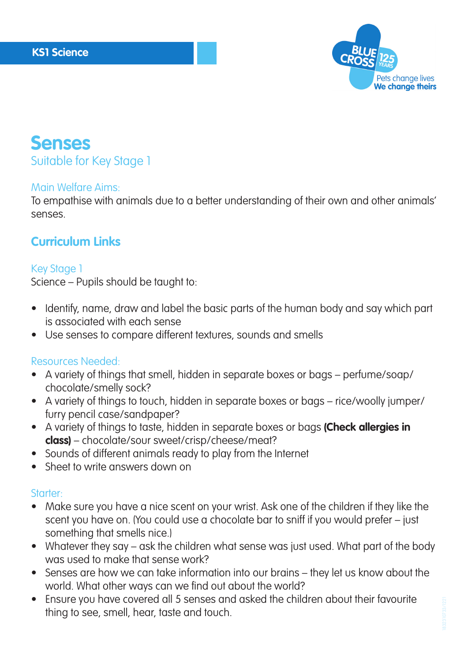

# **Senses** Suitable for Key Stage 1

#### Main Welfare Aims:

To empathise with animals due to a better understanding of their own and other animals' senses.

## **Curriculum Links**

### Key Stage 1

Science – Pupils should be taught to:

- Identify, name, draw and label the basic parts of the human body and say which part is associated with each sense
- Use senses to compare different textures, sounds and smells

#### Resources Needed:

- A variety of things that smell, hidden in separate boxes or bags perfume/soap/ chocolate/smelly sock?
- A variety of things to touch, hidden in separate boxes or bags rice/woolly jumper/ furry pencil case/sandpaper?
- A variety of things to taste, hidden in separate boxes or bags **(Check allergies in class)** – chocolate/sour sweet/crisp/cheese/meat?
- Sounds of different animals ready to play from the Internet
- Sheet to write answers down on

### Starter:

- Make sure you have a nice scent on your wrist. Ask one of the children if they like the scent you have on. (You could use a chocolate bar to sniff if you would prefer – just something that smells nice.)
- Whatever they say ask the children what sense was just used. What part of the body was used to make that sense work?
- Senses are how we can take information into our brains they let us know about the world. What other ways can we find out about the world?
- Ensure you have covered all 5 senses and asked the children about their favourite thing to see, smell, hear, taste and touch.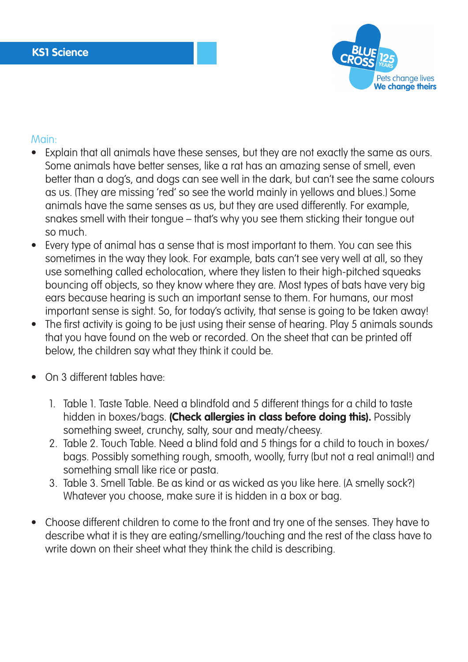

#### Main:

- Explain that all animals have these senses, but they are not exactly the same as ours. Some animals have better senses, like a rat has an amazing sense of smell, even better than a dog's, and dogs can see well in the dark, but can't see the same colours as us. (They are missing 'red' so see the world mainly in yellows and blues.) Some animals have the same senses as us, but they are used differently. For example, snakes smell with their tongue – that's why you see them sticking their tongue out so much.
- Every type of animal has a sense that is most important to them. You can see this sometimes in the way they look. For example, bats can't see very well at all, so they use something called echolocation, where they listen to their high-pitched squeaks bouncing off objects, so they know where they are. Most types of bats have very big ears because hearing is such an important sense to them. For humans, our most important sense is sight. So, for today's activity, that sense is going to be taken away!
- The first activity is going to be just using their sense of hearing. Play 5 animals sounds that you have found on the web or recorded. On the sheet that can be printed off below, the children say what they think it could be.
- On 3 different tables have:
	- 1. Table 1. Taste Table. Need a blindfold and 5 different things for a child to taste hidden in boxes/bags. **(Check allergies in class before doing this).** Possibly something sweet, crunchy, salty, sour and meaty/cheesy.
	- 2. Table 2. Touch Table. Need a blind fold and 5 things for a child to touch in boxes/ bags. Possibly something rough, smooth, woolly, furry (but not a real animal!) and something small like rice or pasta.
	- 3. Table 3. Smell Table. Be as kind or as wicked as you like here. (A smelly sock?) Whatever you choose, make sure it is hidden in a box or bag.
- Choose different children to come to the front and try one of the senses. They have to describe what it is they are eating/smelling/touching and the rest of the class have to write down on their sheet what they think the child is describing.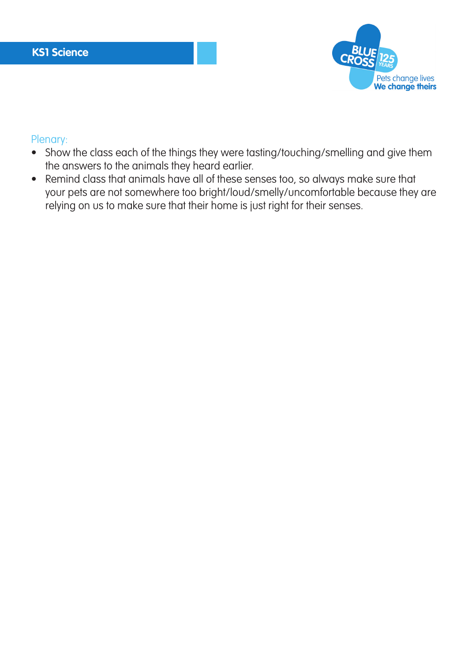

#### Plenary:

- Show the class each of the things they were tasting/touching/smelling and give them the answers to the animals they heard earlier.
- Remind class that animals have all of these senses too, so always make sure that your pets are not somewhere too bright/loud/smelly/uncomfortable because they are relying on us to make sure that their home is just right for their senses.